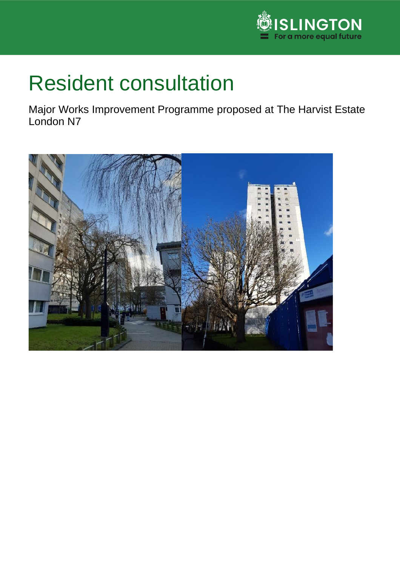

## Resident consultation

Major Works Improvement Programme proposed at The Harvist Estate London N7

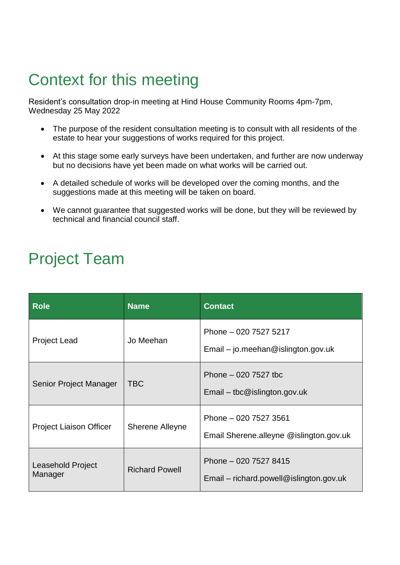## Context for this meeting

Resident's consultation drop-in meeting at Hind House Community Rooms 4pm-7pm, Wednesday 25 May 2022

- The purpose of the resident consultation meeting is to consult with all residents of the estate to hear your suggestions of works required for this project.
- At this stage some early surveys have been undertaken, and further are now underway but no decisions have yet been made on what works will be carried out.
- A detailed schedule of works will be developed over the coming months, and the suggestions made at this meeting will be taken on board.
- We cannot guarantee that suggested works will be done, but they will be reviewed by technical and financial council staff.

## Project Team

| <b>Role</b>                    | <b>Name</b>            | <b>Contact</b>                                                     |
|--------------------------------|------------------------|--------------------------------------------------------------------|
| <b>Project Lead</b>            | Jo Meehan              | Phone - 020 7527 5217<br>$Email - jo$ .meehan@islington.gov.uk     |
| Senior Project Manager         | <b>TBC</b>             | Phone $-020$ 7527 tbc<br>$E$ mail – tbc@islington.gov.uk           |
| <b>Project Liaison Officer</b> | <b>Sherene Alleyne</b> | Phone - 020 7527 3561<br>Email Sherene.alleyne @islington.gov.uk   |
| Leasehold Project<br>Manager   | <b>Richard Powell</b>  | Phone - 020 7527 8415<br>$Email$ – richard.powell@islington.gov.uk |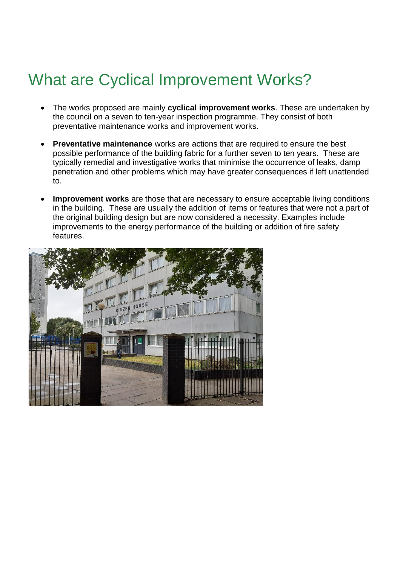## What are Cyclical Improvement Works?

- The works proposed are mainly **cyclical improvement works**. These are undertaken by the council on a seven to ten-year inspection programme. They consist of both preventative maintenance works and improvement works.
- **Preventative maintenance** works are actions that are required to ensure the best possible performance of the building fabric for a further seven to ten years. These are typically remedial and investigative works that minimise the occurrence of leaks, damp penetration and other problems which may have greater consequences if left unattended to.
- **Improvement works** are those that are necessary to ensure acceptable living conditions in the building. These are usually the addition of items or features that were not a part of the original building design but are now considered a necessity. Examples include improvements to the energy performance of the building or addition of fire safety features.

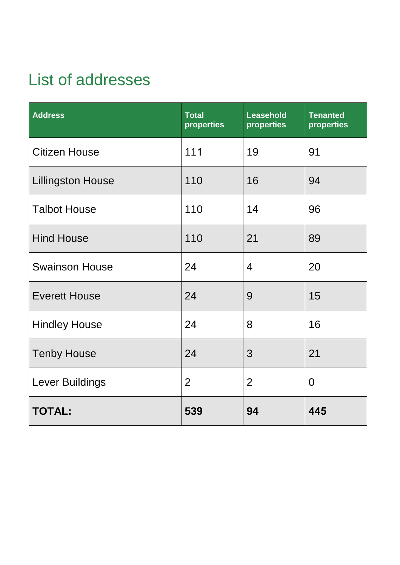## List of addresses

| <b>Address</b>           | <b>Total</b><br>properties | <b>Leasehold</b><br>properties | <b>Tenanted</b><br>properties |
|--------------------------|----------------------------|--------------------------------|-------------------------------|
| <b>Citizen House</b>     | 111                        | 19                             | 91                            |
| <b>Lillingston House</b> | 110                        | 16                             | 94                            |
| <b>Talbot House</b>      | 110                        | 14                             | 96                            |
| <b>Hind House</b>        | 110                        | 21                             | 89                            |
| <b>Swainson House</b>    | 24                         | $\overline{4}$                 | 20                            |
| <b>Everett House</b>     | 24                         | 9                              | 15                            |
| <b>Hindley House</b>     | 24                         | 8                              | 16                            |
| <b>Tenby House</b>       | 24                         | 3                              | 21                            |
| Lever Buildings          | $\overline{2}$             | $\overline{2}$                 | $\overline{0}$                |
| <b>TOTAL:</b>            | 539                        | 94                             | 445                           |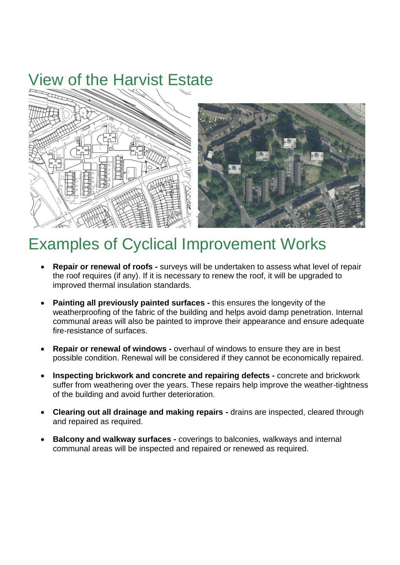## View of the Harvist Estate





### Examples of Cyclical Improvement Works

- **Repair or renewal of roofs -** surveys will be undertaken to assess what level of repair the roof requires (if any). If it is necessary to renew the roof, it will be upgraded to improved thermal insulation standards.
- **Painting all previously painted surfaces -** this ensures the longevity of the weatherproofing of the fabric of the building and helps avoid damp penetration. Internal communal areas will also be painted to improve their appearance and ensure adequate fire-resistance of surfaces.
- **Repair or renewal of windows -** overhaul of windows to ensure they are in best possible condition. Renewal will be considered if they cannot be economically repaired.
- **Inspecting brickwork and concrete and repairing defects -** concrete and brickwork suffer from weathering over the years. These repairs help improve the weather-tightness of the building and avoid further deterioration.
- **Clearing out all drainage and making repairs -** drains are inspected, cleared through and repaired as required.
- **Balcony and walkway surfaces -** coverings to balconies, walkways and internal communal areas will be inspected and repaired or renewed as required.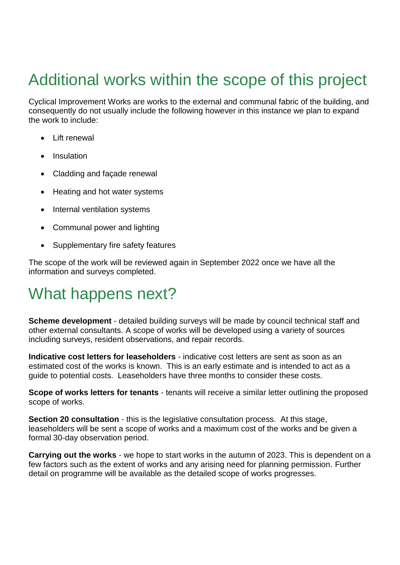## Additional works within the scope of this project

Cyclical Improvement Works are works to the external and communal fabric of the building, and consequently do not usually include the following however in this instance we plan to expand the work to include:

- Lift renewal
- Insulation
- Cladding and façade renewal
- Heating and hot water systems
- Internal ventilation systems
- Communal power and lighting
- Supplementary fire safety features

The scope of the work will be reviewed again in September 2022 once we have all the information and surveys completed.

### What happens next?

**Scheme development** - detailed building surveys will be made by council technical staff and other external consultants. A scope of works will be developed using a variety of sources including surveys, resident observations, and repair records.

**Indicative cost letters for leaseholders** - indicative cost letters are sent as soon as an estimated cost of the works is known. This is an early estimate and is intended to act as a guide to potential costs. Leaseholders have three months to consider these costs.

**Scope of works letters for tenants** - tenants will receive a similar letter outlining the proposed scope of works.

**Section 20 consultation** - this is the legislative consultation process. At this stage, leaseholders will be sent a scope of works and a maximum cost of the works and be given a formal 30-day observation period.

**Carrying out the works** - we hope to start works in the autumn of 2023. This is dependent on a few factors such as the extent of works and any arising need for planning permission. Further detail on programme will be available as the detailed scope of works progresses.